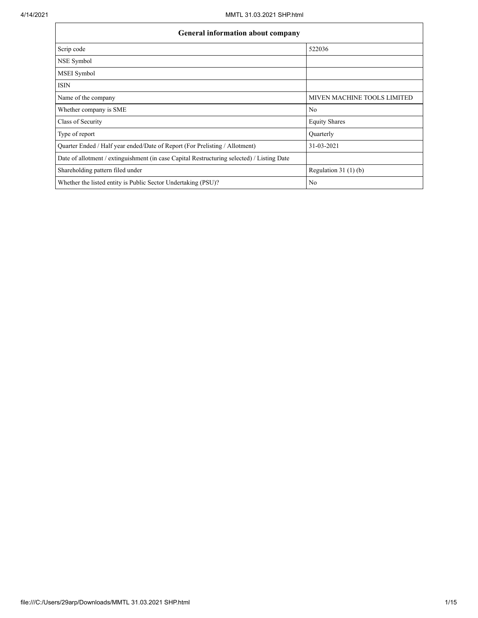$\mathbf{r}$ 

| General information about company                                                          |                             |  |  |  |  |  |  |
|--------------------------------------------------------------------------------------------|-----------------------------|--|--|--|--|--|--|
| Scrip code                                                                                 | 522036                      |  |  |  |  |  |  |
| NSE Symbol                                                                                 |                             |  |  |  |  |  |  |
| MSEI Symbol                                                                                |                             |  |  |  |  |  |  |
| <b>ISIN</b>                                                                                |                             |  |  |  |  |  |  |
| Name of the company                                                                        | MIVEN MACHINE TOOLS LIMITED |  |  |  |  |  |  |
| Whether company is SME                                                                     | No                          |  |  |  |  |  |  |
| Class of Security                                                                          | <b>Equity Shares</b>        |  |  |  |  |  |  |
| Type of report                                                                             | Quarterly                   |  |  |  |  |  |  |
| Quarter Ended / Half year ended/Date of Report (For Prelisting / Allotment)                | 31-03-2021                  |  |  |  |  |  |  |
| Date of allotment / extinguishment (in case Capital Restructuring selected) / Listing Date |                             |  |  |  |  |  |  |
| Shareholding pattern filed under                                                           | Regulation $31(1)(b)$       |  |  |  |  |  |  |
| Whether the listed entity is Public Sector Undertaking (PSU)?                              | No                          |  |  |  |  |  |  |

٦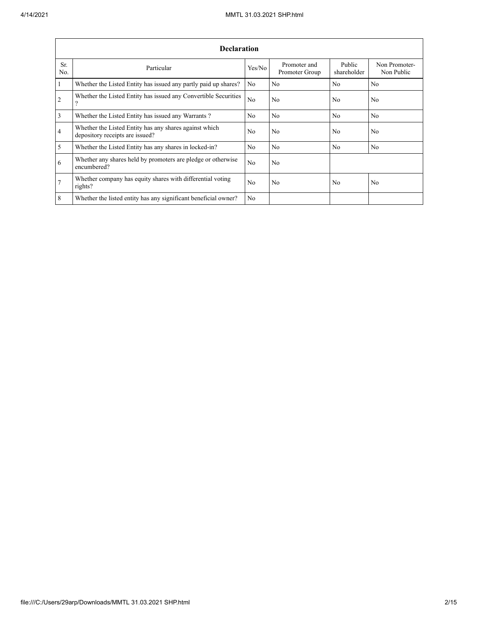|                | <b>Declaration</b>                                                                        |        |                                |                       |                             |  |  |  |  |  |  |
|----------------|-------------------------------------------------------------------------------------------|--------|--------------------------------|-----------------------|-----------------------------|--|--|--|--|--|--|
| Sr.<br>No.     | Particular                                                                                | Yes/No | Promoter and<br>Promoter Group | Public<br>shareholder | Non Promoter-<br>Non Public |  |  |  |  |  |  |
| $\vert$ 1      | Whether the Listed Entity has issued any partly paid up shares?                           | No     | No                             | No                    | No                          |  |  |  |  |  |  |
| $\overline{2}$ | Whether the Listed Entity has issued any Convertible Securities<br>2                      | No.    | No                             | No.                   | N <sub>0</sub>              |  |  |  |  |  |  |
| $\overline{3}$ | Whether the Listed Entity has issued any Warrants?                                        | No.    | No                             | N <sub>0</sub>        | N <sub>0</sub>              |  |  |  |  |  |  |
| $\overline{4}$ | Whether the Listed Entity has any shares against which<br>depository receipts are issued? | No     | No                             | No                    | No                          |  |  |  |  |  |  |
| $\overline{5}$ | Whether the Listed Entity has any shares in locked-in?                                    | No     | No                             | No                    | No                          |  |  |  |  |  |  |
| 6              | Whether any shares held by promoters are pledge or otherwise<br>encumbered?               | No.    | No                             |                       |                             |  |  |  |  |  |  |
| $\overline{7}$ | Whether company has equity shares with differential voting<br>rights?                     | No     | No                             | No                    | No                          |  |  |  |  |  |  |
| 8              | Whether the listed entity has any significant beneficial owner?                           | No.    |                                |                       |                             |  |  |  |  |  |  |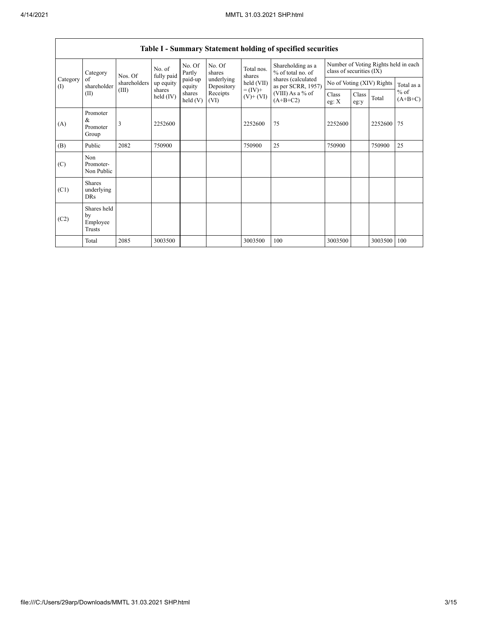| Category<br>of<br>(I) | Category                                | No. of<br>fully paid<br>Nos. Of                                                                                           |                     | No. Of<br>Partly  | No. Of<br>shares         | Total nos.<br>shares | Shareholding as a<br>% of total no. of   | Number of Voting Rights held in each<br>class of securities (IX) |  |                           |            |
|-----------------------|-----------------------------------------|---------------------------------------------------------------------------------------------------------------------------|---------------------|-------------------|--------------------------|----------------------|------------------------------------------|------------------------------------------------------------------|--|---------------------------|------------|
|                       | shareholder                             | shareholders                                                                                                              | up equity<br>shares | paid-up<br>equity | underlying<br>Depository | held (VII)           | shares (calculated<br>as per SCRR, 1957) |                                                                  |  | No of Voting (XIV) Rights | Total as a |
|                       | (II)                                    | $= (IV) +$<br>(III)<br>Receipts<br>(VIII) As a % of<br>shares<br>held (IV)<br>$(V)+(VI)$<br>$(A+B+C2)$<br>held(V)<br>(VI) |                     | Class<br>eg: $X$  | Class<br>eg:y            | Total                | $%$ of<br>$(A+B+C)$                      |                                                                  |  |                           |            |
| (A)                   | Promoter<br>&<br>Promoter<br>Group      | 3                                                                                                                         | 2252600             |                   |                          | 2252600              | 75                                       | 2252600                                                          |  | 2252600                   | 75         |
| (B)                   | Public                                  | 2082                                                                                                                      | 750900              |                   |                          | 750900               | 25                                       | 750900                                                           |  | 750900                    | 25         |
| (C)                   | Non<br>Promoter-<br>Non Public          |                                                                                                                           |                     |                   |                          |                      |                                          |                                                                  |  |                           |            |
| (C1)                  | <b>Shares</b><br>underlying<br>DRs      |                                                                                                                           |                     |                   |                          |                      |                                          |                                                                  |  |                           |            |
| (C2)                  | Shares held<br>by<br>Employee<br>Trusts |                                                                                                                           |                     |                   |                          |                      |                                          |                                                                  |  |                           |            |
|                       | Total                                   | 2085                                                                                                                      | 3003500             |                   |                          | 3003500              | 100                                      | 3003500                                                          |  | 3003500                   | 100        |

## **Table I - Summary Statement holding of specified securities**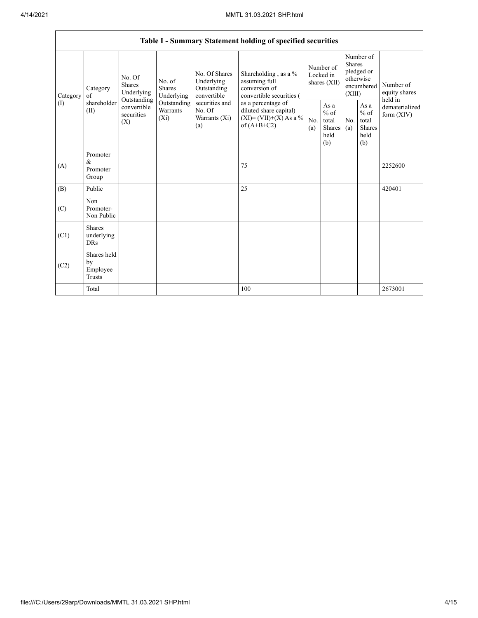|                                                          | Table I - Summary Statement holding of specified securities                           |                                       |                                                  |                                                                                          |                                                                                    |                                                  |            |                                                                        |  |                                                                       |
|----------------------------------------------------------|---------------------------------------------------------------------------------------|---------------------------------------|--------------------------------------------------|------------------------------------------------------------------------------------------|------------------------------------------------------------------------------------|--------------------------------------------------|------------|------------------------------------------------------------------------|--|-----------------------------------------------------------------------|
| Category<br>Category<br>of<br>shareholder<br>(1)<br>(II) |                                                                                       | No. Of<br><b>Shares</b><br>Underlying | No. of<br><b>Shares</b><br>Underlying            | No. Of Shares<br>Underlying<br>Outstanding<br>convertible                                | Shareholding, as a %<br>assuming full<br>conversion of<br>convertible securities ( | Number of<br>Locked in<br>shares (XII)           |            | Number of<br>Shares<br>pledged or<br>otherwise<br>encumbered<br>(XIII) |  | Number of<br>equity shares<br>held in<br>dematerialized<br>form (XIV) |
|                                                          | Outstanding<br>Outstanding<br>convertible<br>Warrants<br>securities<br>$(X_i)$<br>(X) |                                       | securities and<br>No. Of<br>Warrants (Xi)<br>(a) | as a percentage of<br>diluted share capital)<br>$(XI)=(VII)+(X)$ As a %<br>of $(A+B+C2)$ | No.<br>(a)                                                                         | As a<br>$%$ of<br>total<br>Shares<br>held<br>(b) | No.<br>(a) | As $\mathbf{a}$<br>$%$ of<br>total<br>Shares<br>held<br>(b)            |  |                                                                       |
| (A)                                                      | Promoter<br>&<br>Promoter<br>Group                                                    |                                       |                                                  |                                                                                          | 75                                                                                 |                                                  |            |                                                                        |  | 2252600                                                               |
| (B)                                                      | Public                                                                                |                                       |                                                  |                                                                                          | 25                                                                                 |                                                  |            |                                                                        |  | 420401                                                                |
| (C)                                                      | Non<br>Promoter-<br>Non Public                                                        |                                       |                                                  |                                                                                          |                                                                                    |                                                  |            |                                                                        |  |                                                                       |
| (C1)                                                     | <b>Shares</b><br>underlying<br><b>DRs</b>                                             |                                       |                                                  |                                                                                          |                                                                                    |                                                  |            |                                                                        |  |                                                                       |
| (C2)                                                     | Shares held<br>by<br>Employee<br>Trusts                                               |                                       |                                                  |                                                                                          |                                                                                    |                                                  |            |                                                                        |  |                                                                       |
|                                                          | Total                                                                                 |                                       |                                                  |                                                                                          | 100                                                                                |                                                  |            |                                                                        |  | 2673001                                                               |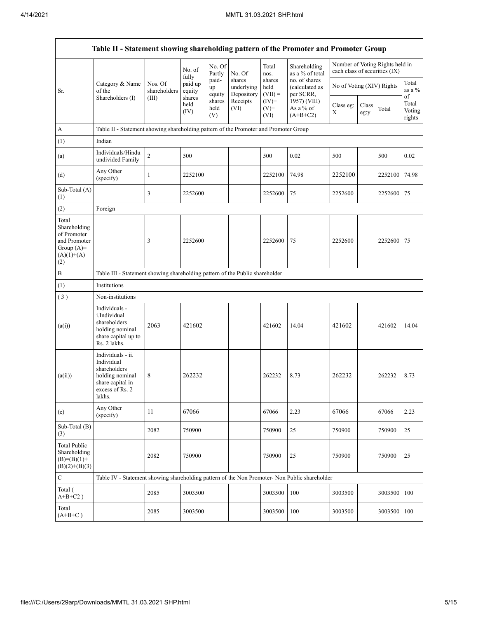| Table II - Statement showing shareholding pattern of the Promoter and Promoter Group        |                                                                                                                     |                                                                                      |                            |                       |                                    |                             |                                              |                               |               |                                 |                                 |  |
|---------------------------------------------------------------------------------------------|---------------------------------------------------------------------------------------------------------------------|--------------------------------------------------------------------------------------|----------------------------|-----------------------|------------------------------------|-----------------------------|----------------------------------------------|-------------------------------|---------------|---------------------------------|---------------------------------|--|
|                                                                                             |                                                                                                                     |                                                                                      | No. of                     | No. Of<br>Partly      | No. Of                             | Total<br>nos.               | Shareholding<br>as a % of total              | each class of securities (IX) |               | Number of Voting Rights held in |                                 |  |
| Sr.                                                                                         | Category & Name<br>of the                                                                                           | Nos. Of<br>shareholders                                                              | fully<br>paid up<br>equity | paid-<br>up<br>equity | shares<br>underlying<br>Depository | shares<br>held<br>$(VII) =$ | no. of shares<br>(calculated as<br>per SCRR, | No of Voting (XIV) Rights     |               |                                 | Total<br>as a %                 |  |
|                                                                                             | Shareholders (I)                                                                                                    | (III)                                                                                | shares<br>held<br>(IV)     | shares<br>held<br>(V) | Receipts<br>(VI)                   | $(IV)$ +<br>$(V)$ +<br>(VI) | 1957) (VIII)<br>As a % of<br>$(A+B+C2)$      | Class eg:<br>Χ                | Class<br>eg:y | Total                           | of<br>Total<br>Voting<br>rights |  |
| A                                                                                           |                                                                                                                     | Table II - Statement showing shareholding pattern of the Promoter and Promoter Group |                            |                       |                                    |                             |                                              |                               |               |                                 |                                 |  |
| (1)                                                                                         | Indian                                                                                                              |                                                                                      |                            |                       |                                    |                             |                                              |                               |               |                                 |                                 |  |
| (a)                                                                                         | Individuals/Hindu<br>undivided Family                                                                               | $\overline{2}$                                                                       | 500                        |                       |                                    | 500                         | 0.02                                         | 500                           |               | 500                             | 0.02                            |  |
| (d)                                                                                         | Any Other<br>(specify)                                                                                              | $\mathbf{1}$                                                                         | 2252100                    |                       |                                    | 2252100                     | 74.98                                        | 2252100                       |               | 2252100                         | 74.98                           |  |
| Sub-Total (A)<br>(1)                                                                        |                                                                                                                     | 3                                                                                    | 2252600                    |                       |                                    | 2252600                     | 75                                           | 2252600                       |               | 2252600                         | 75                              |  |
| (2)                                                                                         | Foreign                                                                                                             |                                                                                      |                            |                       |                                    |                             |                                              |                               |               |                                 |                                 |  |
| Total<br>Shareholding<br>of Promoter<br>and Promoter<br>Group $(A)=$<br>$(A)(1)+(A)$<br>(2) |                                                                                                                     | 3                                                                                    | 2252600                    |                       |                                    | 2252600                     | 75                                           | 2252600                       |               | 2252600                         | 75                              |  |
| B                                                                                           | Table III - Statement showing shareholding pattern of the Public shareholder                                        |                                                                                      |                            |                       |                                    |                             |                                              |                               |               |                                 |                                 |  |
| (1)                                                                                         | Institutions                                                                                                        |                                                                                      |                            |                       |                                    |                             |                                              |                               |               |                                 |                                 |  |
| (3)                                                                                         | Non-institutions                                                                                                    |                                                                                      |                            |                       |                                    |                             |                                              |                               |               |                                 |                                 |  |
| (a(i))                                                                                      | Individuals -<br>i.Individual<br>shareholders<br>holding nominal<br>share capital up to<br>Rs. 2 lakhs.             | 2063                                                                                 | 421602                     |                       |                                    | 421602                      | 14.04                                        | 421602                        |               | 421602                          | 14.04                           |  |
| (a(ii))                                                                                     | Individuals - ii.<br>Individual<br>shareholders<br>holding nominal<br>share capital in<br>excess of Rs. 2<br>lakhs. | 8                                                                                    | 262232                     |                       |                                    | 262232                      | 8.73                                         | 262232                        |               | 262232                          | 8.73                            |  |
| (e)                                                                                         | Any Other<br>(specify)                                                                                              | 11                                                                                   | 67066                      |                       |                                    | 67066                       | 2.23                                         | 67066                         |               | 67066                           | 2.23                            |  |
| Sub-Total (B)<br>(3)                                                                        |                                                                                                                     | 2082                                                                                 | 750900                     |                       |                                    | 750900                      | $25\,$                                       | 750900                        |               | 750900                          | 25                              |  |
| Total Public<br>Shareholding<br>$(B)=(B)(1)+$<br>$(B)(2)+(B)(3)$                            |                                                                                                                     | 2082                                                                                 | 750900                     |                       |                                    | 750900                      | 25                                           | 750900                        |               | 750900                          | 25                              |  |
| $\mathbf C$                                                                                 | Table IV - Statement showing shareholding pattern of the Non Promoter- Non Public shareholder                       |                                                                                      |                            |                       |                                    |                             |                                              |                               |               |                                 |                                 |  |
| Total (<br>$A+B+C2$ )                                                                       |                                                                                                                     | 2085                                                                                 | 3003500                    |                       |                                    | 3003500                     | $100\,$                                      | 3003500                       |               | 3003500                         | 100                             |  |
| Total<br>$(A+B+C)$                                                                          |                                                                                                                     | 2085                                                                                 | 3003500                    |                       |                                    | 3003500                     | 100                                          | 3003500                       |               | 3003500                         | 100                             |  |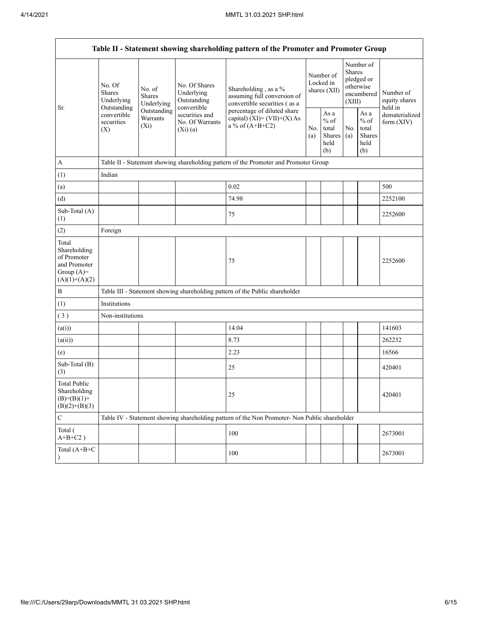|                                                                                         | Table II - Statement showing shareholding pattern of the Promoter and Promoter Group                                                                      |  |                                                           |                                                                                                                                                                           |  |                                                          |            |                                                                        |                                       |  |
|-----------------------------------------------------------------------------------------|-----------------------------------------------------------------------------------------------------------------------------------------------------------|--|-----------------------------------------------------------|---------------------------------------------------------------------------------------------------------------------------------------------------------------------------|--|----------------------------------------------------------|------------|------------------------------------------------------------------------|---------------------------------------|--|
| Sr.                                                                                     | No. Of<br>No. of<br>Shares<br>Shares<br>Underlying<br>Underlying<br>Outstanding<br>Outstanding<br>convertible<br>Warrants<br>securities<br>$(X_i)$<br>(X) |  | No. Of Shares<br>Underlying<br>Outstanding<br>convertible | Shareholding, as a %<br>assuming full conversion of<br>convertible securities (as a<br>percentage of diluted share<br>capital) $(XI) = (VII)+(X) As$<br>a % of $(A+B+C2)$ |  | Number of<br>Locked in<br>shares (XII)                   |            | Number of<br>Shares<br>pledged or<br>otherwise<br>encumbered<br>(XIII) | Number of<br>equity shares<br>held in |  |
|                                                                                         |                                                                                                                                                           |  | securities and<br>No. Of Warrants<br>$(Xi)$ (a)           |                                                                                                                                                                           |  | As a<br>$\%$ of<br>total<br><b>Shares</b><br>held<br>(b) | No.<br>(a) | As a<br>$%$ of<br>total<br><b>Shares</b><br>held<br>(b)                | dematerialized<br>form $(XIV)$        |  |
| $\boldsymbol{A}$                                                                        |                                                                                                                                                           |  |                                                           | Table II - Statement showing shareholding pattern of the Promoter and Promoter Group                                                                                      |  |                                                          |            |                                                                        |                                       |  |
| (1)                                                                                     | Indian                                                                                                                                                    |  |                                                           |                                                                                                                                                                           |  |                                                          |            |                                                                        |                                       |  |
| (a)                                                                                     |                                                                                                                                                           |  |                                                           | 0.02                                                                                                                                                                      |  |                                                          |            |                                                                        | 500                                   |  |
| (d)                                                                                     |                                                                                                                                                           |  |                                                           | 74.98                                                                                                                                                                     |  |                                                          |            |                                                                        | 2252100                               |  |
| Sub-Total (A)<br>(1)                                                                    |                                                                                                                                                           |  |                                                           | 75                                                                                                                                                                        |  |                                                          |            |                                                                        | 2252600                               |  |
| (2)                                                                                     | Foreign                                                                                                                                                   |  |                                                           |                                                                                                                                                                           |  |                                                          |            |                                                                        |                                       |  |
| Total<br>Shareholding<br>of Promoter<br>and Promoter<br>Group $(A)=$<br>$(A)(1)+(A)(2)$ |                                                                                                                                                           |  |                                                           | 75                                                                                                                                                                        |  |                                                          |            |                                                                        | 2252600                               |  |
| $\, {\bf B}$                                                                            |                                                                                                                                                           |  |                                                           | Table III - Statement showing shareholding pattern of the Public shareholder                                                                                              |  |                                                          |            |                                                                        |                                       |  |
| (1)                                                                                     | Institutions                                                                                                                                              |  |                                                           |                                                                                                                                                                           |  |                                                          |            |                                                                        |                                       |  |
| (3)                                                                                     | Non-institutions                                                                                                                                          |  |                                                           |                                                                                                                                                                           |  |                                                          |            |                                                                        |                                       |  |
| (a(i))                                                                                  |                                                                                                                                                           |  |                                                           | 14.04                                                                                                                                                                     |  |                                                          |            |                                                                        | 141603                                |  |
| (a(ii))                                                                                 |                                                                                                                                                           |  |                                                           | 8.73                                                                                                                                                                      |  |                                                          |            |                                                                        | 262232                                |  |
| (e)                                                                                     |                                                                                                                                                           |  |                                                           | 2.23                                                                                                                                                                      |  |                                                          |            |                                                                        | 16566                                 |  |
| Sub-Total (B)<br>(3)                                                                    |                                                                                                                                                           |  |                                                           | 25                                                                                                                                                                        |  |                                                          |            |                                                                        | 420401                                |  |
| <b>Total Public</b><br>Shareholding<br>$(B)=(B)(1)$ +<br>$(B)(2)+(B)(3)$                |                                                                                                                                                           |  |                                                           | 25                                                                                                                                                                        |  |                                                          |            |                                                                        | 420401                                |  |
| $\mathbf C$                                                                             |                                                                                                                                                           |  |                                                           | Table IV - Statement showing shareholding pattern of the Non Promoter- Non Public shareholder                                                                             |  |                                                          |            |                                                                        |                                       |  |
| Total (<br>$A+B+C2$ )                                                                   |                                                                                                                                                           |  |                                                           | 100                                                                                                                                                                       |  |                                                          |            |                                                                        | 2673001                               |  |
| Total (A+B+C<br>$\lambda$                                                               |                                                                                                                                                           |  |                                                           | 100                                                                                                                                                                       |  |                                                          |            |                                                                        | 2673001                               |  |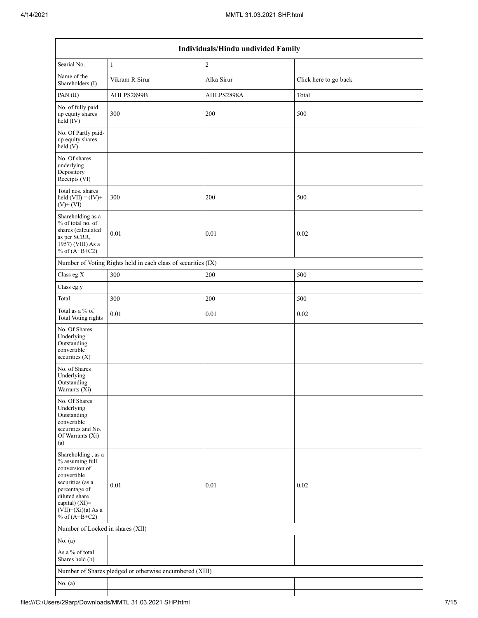| Individuals/Hindu undivided Family                                                                                                                                                       |                                                               |            |                       |  |  |  |  |
|------------------------------------------------------------------------------------------------------------------------------------------------------------------------------------------|---------------------------------------------------------------|------------|-----------------------|--|--|--|--|
| Searial No.                                                                                                                                                                              | $\mathbf{1}$                                                  | $\sqrt{2}$ |                       |  |  |  |  |
| Name of the<br>Shareholders (I)                                                                                                                                                          | Vikram R Sirur                                                | Alka Sirur | Click here to go back |  |  |  |  |
| PAN(II)                                                                                                                                                                                  | AHLPS2899B                                                    | AHLPS2898A | Total                 |  |  |  |  |
| No. of fully paid<br>up equity shares<br>$held$ (IV)                                                                                                                                     | 300                                                           | 200        | 500                   |  |  |  |  |
| No. Of Partly paid-<br>up equity shares<br>held(V)                                                                                                                                       |                                                               |            |                       |  |  |  |  |
| No. Of shares<br>underlying<br>Depository<br>Receipts (VI)                                                                                                                               |                                                               |            |                       |  |  |  |  |
| Total nos. shares<br>held $(VII) = (IV) +$<br>$(V)$ + $(VI)$                                                                                                                             | 300                                                           | 200        | 500                   |  |  |  |  |
| Shareholding as a<br>% of total no. of<br>shares (calculated<br>as per SCRR,<br>1957) (VIII) As a<br>% of $(A+B+C2)$                                                                     | 0.01                                                          | 0.01       | 0.02                  |  |  |  |  |
|                                                                                                                                                                                          | Number of Voting Rights held in each class of securities (IX) |            |                       |  |  |  |  |
| Class eg:X                                                                                                                                                                               | 300                                                           | 200        | 500                   |  |  |  |  |
| Class eg:y                                                                                                                                                                               |                                                               |            |                       |  |  |  |  |
| Total                                                                                                                                                                                    | 300                                                           | 200        | 500                   |  |  |  |  |
| Total as a % of<br>Total Voting rights                                                                                                                                                   | $0.01\,$                                                      | $0.01\,$   | 0.02                  |  |  |  |  |
| No. Of Shares<br>Underlying<br>Outstanding<br>convertible<br>securities $(X)$                                                                                                            |                                                               |            |                       |  |  |  |  |
| No. of Shares<br>Underlying<br>Outstanding<br>Warrants (Xi)                                                                                                                              |                                                               |            |                       |  |  |  |  |
| No. Of Shares<br>Underlying<br>Outstanding<br>convertible<br>securities and No.<br>Of Warrants (Xi)<br>(a)                                                                               |                                                               |            |                       |  |  |  |  |
| Shareholding, as a<br>% assuming full<br>conversion of<br>convertible<br>securities (as a<br>percentage of<br>diluted share<br>capital) (XI)=<br>$(VII)+(Xi)(a)$ As a<br>% of $(A+B+C2)$ | 0.01                                                          | 0.01       | 0.02                  |  |  |  |  |
| Number of Locked in shares (XII)                                                                                                                                                         |                                                               |            |                       |  |  |  |  |
| No. (a)                                                                                                                                                                                  |                                                               |            |                       |  |  |  |  |
| As a % of total<br>Shares held (b)                                                                                                                                                       |                                                               |            |                       |  |  |  |  |
|                                                                                                                                                                                          | Number of Shares pledged or otherwise encumbered (XIII)       |            |                       |  |  |  |  |
| No. $(a)$                                                                                                                                                                                |                                                               |            |                       |  |  |  |  |
|                                                                                                                                                                                          |                                                               |            |                       |  |  |  |  |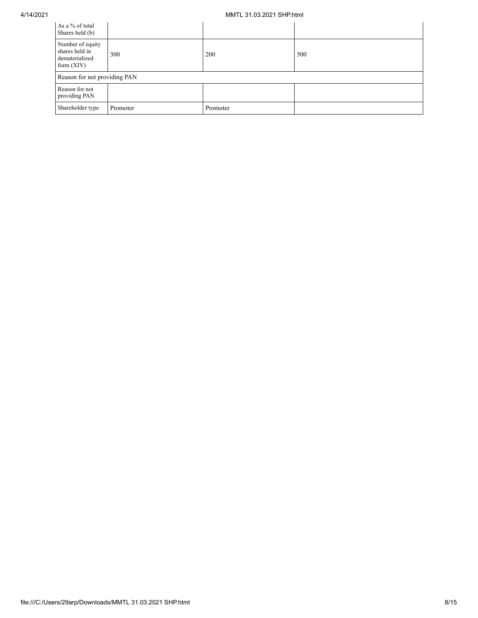## 4/14/2021 MMTL 31.03.2021 SHP.html

| As a % of total<br>Shares held (b)                                   |                              |          |     |  |  |  |  |  |
|----------------------------------------------------------------------|------------------------------|----------|-----|--|--|--|--|--|
| Number of equity<br>shares held in<br>dematerialized<br>form $(XIV)$ | 300                          | 200      | 500 |  |  |  |  |  |
|                                                                      | Reason for not providing PAN |          |     |  |  |  |  |  |
| Reason for not<br>providing PAN                                      |                              |          |     |  |  |  |  |  |
| Shareholder type                                                     | Promoter                     | Promoter |     |  |  |  |  |  |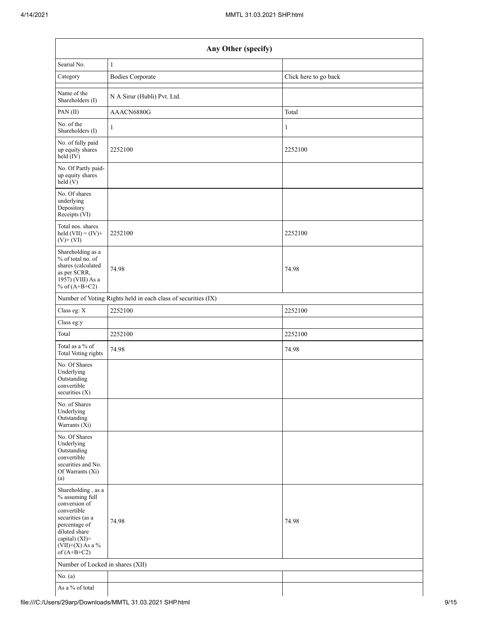|                                                                                                                                                                                      | Any Other (specify)                                           |                       |  |  |  |  |  |  |
|--------------------------------------------------------------------------------------------------------------------------------------------------------------------------------------|---------------------------------------------------------------|-----------------------|--|--|--|--|--|--|
| Searial No.                                                                                                                                                                          | $\mathbf{1}$                                                  |                       |  |  |  |  |  |  |
| Category                                                                                                                                                                             | <b>Bodies Corporate</b>                                       | Click here to go back |  |  |  |  |  |  |
| Name of the<br>Shareholders (I)                                                                                                                                                      | N A Sirur (Hubli) Pvt. Ltd.                                   |                       |  |  |  |  |  |  |
| PAN(II)                                                                                                                                                                              | AAACN6880G                                                    | Total                 |  |  |  |  |  |  |
| No. of the<br>Shareholders (I)                                                                                                                                                       | 1                                                             | 1                     |  |  |  |  |  |  |
| No. of fully paid<br>up equity shares<br>$held$ (IV)                                                                                                                                 | 2252100                                                       | 2252100               |  |  |  |  |  |  |
| No. Of Partly paid-<br>up equity shares<br>held (V)                                                                                                                                  |                                                               |                       |  |  |  |  |  |  |
| No. Of shares<br>underlying<br>Depository<br>Receipts (VI)                                                                                                                           |                                                               |                       |  |  |  |  |  |  |
| Total nos. shares<br>held $(VII) = (IV) +$<br>$(V)$ + $(VI)$                                                                                                                         | 2252100                                                       | 2252100               |  |  |  |  |  |  |
| Shareholding as a<br>% of total no. of<br>shares (calculated<br>as per SCRR,<br>1957) (VIII) As a<br>% of $(A+B+C2)$                                                                 | 74.98                                                         | 74.98                 |  |  |  |  |  |  |
|                                                                                                                                                                                      | Number of Voting Rights held in each class of securities (IX) |                       |  |  |  |  |  |  |
| Class eg: X                                                                                                                                                                          | 2252100                                                       | 2252100               |  |  |  |  |  |  |
| Class eg:y                                                                                                                                                                           |                                                               |                       |  |  |  |  |  |  |
| Total                                                                                                                                                                                | 2252100                                                       | 2252100               |  |  |  |  |  |  |
| Total as a % of<br><b>Total Voting rights</b>                                                                                                                                        | 74.98                                                         | 74.98                 |  |  |  |  |  |  |
| No. Of Shares<br>Underlying<br>Outstanding<br>convertible<br>securities (X)                                                                                                          |                                                               |                       |  |  |  |  |  |  |
| No. of Shares<br>Underlying<br>Outstanding<br>Warrants (Xi)                                                                                                                          |                                                               |                       |  |  |  |  |  |  |
| No. Of Shares<br>Underlying<br>Outstanding<br>convertible<br>securities and No.<br>Of Warrants (Xi)<br>(a)                                                                           |                                                               |                       |  |  |  |  |  |  |
| Shareholding, as a<br>% assuming full<br>conversion of<br>convertible<br>securities (as a<br>percentage of<br>diluted share<br>capital) (XI)=<br>$(VII)+(X)$ As a %<br>of $(A+B+C2)$ | 74.98                                                         | 74.98                 |  |  |  |  |  |  |
| Number of Locked in shares (XII)                                                                                                                                                     |                                                               |                       |  |  |  |  |  |  |
| No. (a)                                                                                                                                                                              |                                                               |                       |  |  |  |  |  |  |
| As a % of total                                                                                                                                                                      |                                                               |                       |  |  |  |  |  |  |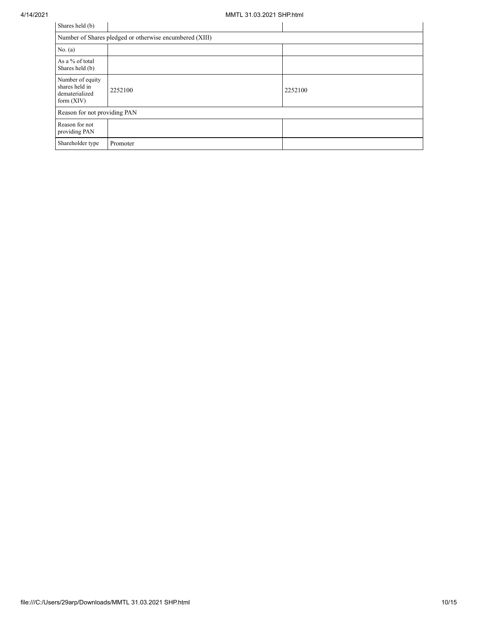| Shares held (b)                                                      |                                                         |         |
|----------------------------------------------------------------------|---------------------------------------------------------|---------|
|                                                                      | Number of Shares pledged or otherwise encumbered (XIII) |         |
| No. (a)                                                              |                                                         |         |
| As a % of total<br>Shares held (b)                                   |                                                         |         |
| Number of equity<br>shares held in<br>dematerialized<br>form $(XIV)$ | 2252100                                                 | 2252100 |
| Reason for not providing PAN                                         |                                                         |         |
| Reason for not<br>providing PAN                                      |                                                         |         |
| Shareholder type                                                     | Promoter                                                |         |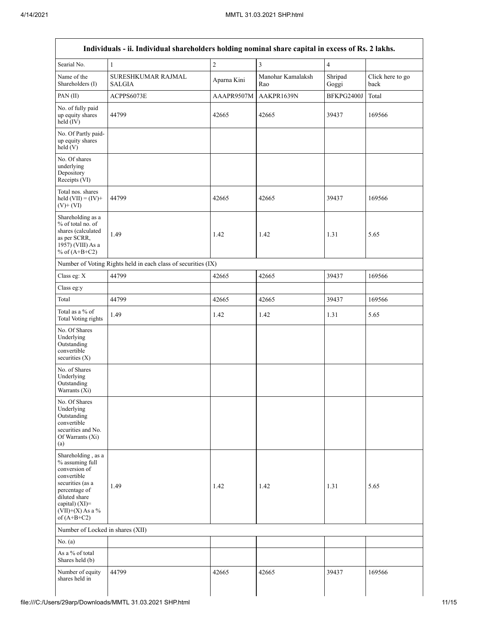| Searial No.                                                                                                                                                                          | $\mathbf{1}$                                                  | $\overline{c}$ | $\overline{\mathbf{3}}$  | $\overline{4}$   |                          |
|--------------------------------------------------------------------------------------------------------------------------------------------------------------------------------------|---------------------------------------------------------------|----------------|--------------------------|------------------|--------------------------|
| Name of the<br>Shareholders (I)                                                                                                                                                      | SURESHKUMAR RAJMAL<br>SALGIA                                  | Aparna Kini    | Manohar Kamalaksh<br>Rao | Shripad<br>Goggi | Click here to go<br>back |
| PAN(II)                                                                                                                                                                              | ACPPS6073E                                                    | AAAPR9507M     | AAKPR1639N               | BFKPG2400J       | Total                    |
| No. of fully paid<br>up equity shares<br>$\text{held} (IV)$                                                                                                                          | 44799                                                         | 42665          | 42665                    | 39437            | 169566                   |
| No. Of Partly paid-<br>up equity shares<br>held (V)                                                                                                                                  |                                                               |                |                          |                  |                          |
| No. Of shares<br>underlying<br>Depository<br>Receipts (VI)                                                                                                                           |                                                               |                |                          |                  |                          |
| Total nos. shares<br>held $(VII) = (IV) +$<br>$(V)$ + $(VI)$                                                                                                                         | 44799                                                         | 42665          | 42665                    | 39437            | 169566                   |
| Shareholding as a<br>% of total no. of<br>shares (calculated<br>as per SCRR,<br>1957) (VIII) As a<br>% of $(A+B+C2)$                                                                 | 1.49                                                          | 1.42           | 1.42                     | 1.31             | 5.65                     |
|                                                                                                                                                                                      | Number of Voting Rights held in each class of securities (IX) |                |                          |                  |                          |
| Class eg: X                                                                                                                                                                          | 44799                                                         | 42665          | 42665                    | 39437            | 169566                   |
| Class eg:y                                                                                                                                                                           |                                                               |                |                          |                  |                          |
| Total                                                                                                                                                                                | 44799                                                         | 42665          | 42665                    | 39437            | 169566                   |
| Total as a % of<br>Total Voting rights                                                                                                                                               | 1.49                                                          | 1.42           | 1.42                     | 1.31             | 5.65                     |
| No. Of Shares<br>Underlying<br>Outstanding<br>convertible<br>securities $(X)$                                                                                                        |                                                               |                |                          |                  |                          |
| No. of Shares<br>Underlying<br>Outstanding<br>Warrants (Xi)                                                                                                                          |                                                               |                |                          |                  |                          |
| No. Of Shares<br>Underlying<br>Outstanding<br>convertible<br>securities and No.<br>Of Warrants (Xi)<br>(a)                                                                           |                                                               |                |                          |                  |                          |
| Shareholding, as a<br>% assuming full<br>conversion of<br>convertible<br>securities (as a<br>percentage of<br>diluted share<br>capital) (XI)=<br>$(VII)+(X)$ As a %<br>of $(A+B+C2)$ | 1.49                                                          | 1.42           | 1.42                     | 1.31             | 5.65                     |
| Number of Locked in shares (XII)                                                                                                                                                     |                                                               |                |                          |                  |                          |
| No. $(a)$                                                                                                                                                                            |                                                               |                |                          |                  |                          |
| As a % of total<br>Shares held (b)                                                                                                                                                   |                                                               |                |                          |                  |                          |
| Number of equity<br>shares held in                                                                                                                                                   | 44799                                                         | 42665          | 42665                    | 39437            | 169566                   |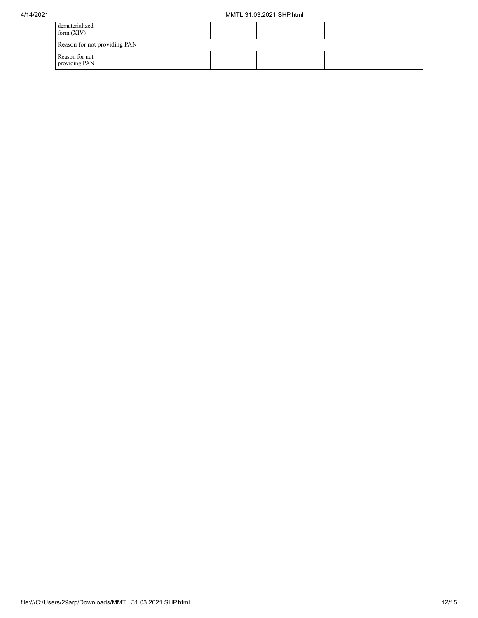| dematerialized<br>form $(XIV)$  |  |  |  |
|---------------------------------|--|--|--|
| Reason for not providing PAN    |  |  |  |
| Reason for not<br>providing PAN |  |  |  |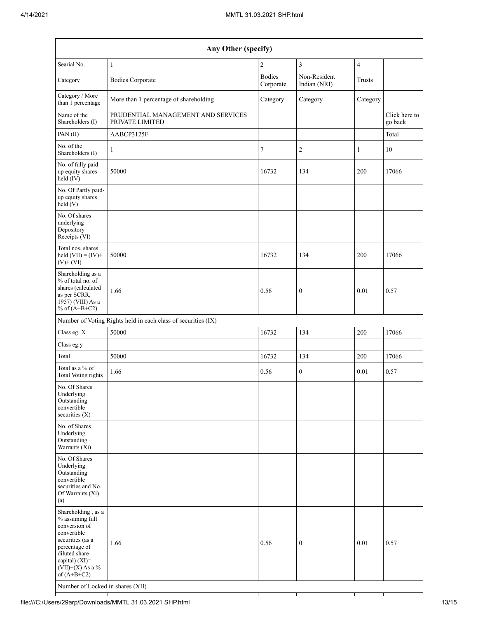| Any Other (specify)                                                                                                                                                                                                      |                                                               |                            |                              |                         |                                |  |  |  |
|--------------------------------------------------------------------------------------------------------------------------------------------------------------------------------------------------------------------------|---------------------------------------------------------------|----------------------------|------------------------------|-------------------------|--------------------------------|--|--|--|
| Searial No.                                                                                                                                                                                                              | $\mathbf{1}$                                                  | $\overline{c}$             | $\overline{3}$               | $\overline{\mathbf{4}}$ |                                |  |  |  |
| Category                                                                                                                                                                                                                 | <b>Bodies Corporate</b>                                       | <b>Bodies</b><br>Corporate | Non-Resident<br>Indian (NRI) | Trusts                  |                                |  |  |  |
| Category / More<br>than 1 percentage                                                                                                                                                                                     | More than 1 percentage of shareholding                        | Category                   | Category                     | Category                |                                |  |  |  |
| Name of the<br>Shareholders (I)                                                                                                                                                                                          | PRUDENTIAL MANAGEMENT AND SERVICES<br>PRIVATE LIMITED         |                            |                              |                         | Click here to<br>$\rm go$ back |  |  |  |
| PAN (II)                                                                                                                                                                                                                 | AABCP3125F                                                    |                            |                              |                         | Total                          |  |  |  |
| No. of the<br>Shareholders (I)                                                                                                                                                                                           | 1                                                             | 7                          | $\sqrt{2}$                   | 1                       | 10                             |  |  |  |
| No. of fully paid<br>up equity shares<br>held (IV)                                                                                                                                                                       | 50000                                                         | 16732                      | 134                          | 200                     | 17066                          |  |  |  |
| No. Of Partly paid-<br>up equity shares<br>$\text{held} (V)$                                                                                                                                                             |                                                               |                            |                              |                         |                                |  |  |  |
| No. Of shares<br>underlying<br>Depository<br>Receipts (VI)                                                                                                                                                               |                                                               |                            |                              |                         |                                |  |  |  |
| Total nos. shares<br>held $(VII) = (IV) +$<br>$(V)$ + $(VI)$                                                                                                                                                             | 50000                                                         | 16732                      | 134                          | 200                     | 17066                          |  |  |  |
| Shareholding as a<br>% of total no. of<br>shares (calculated<br>as per SCRR,<br>1957) (VIII) As a<br>% of $(A+B+C2)$                                                                                                     | 1.66                                                          | 0.56                       | $\boldsymbol{0}$             | 0.01                    | 0.57                           |  |  |  |
|                                                                                                                                                                                                                          | Number of Voting Rights held in each class of securities (IX) |                            |                              |                         |                                |  |  |  |
| Class eg: X                                                                                                                                                                                                              | 50000                                                         | 16732                      | 134                          | 200                     | 17066                          |  |  |  |
| Class eg:y                                                                                                                                                                                                               |                                                               |                            |                              |                         |                                |  |  |  |
| Total                                                                                                                                                                                                                    | 50000                                                         | 16732                      | 134                          | 200                     | 17066                          |  |  |  |
| Total as a % of<br><b>Total Voting rights</b>                                                                                                                                                                            | 1.66                                                          | 0.56                       | $\boldsymbol{0}$             | $0.01\,$                | 0.57                           |  |  |  |
| No. Of Shares<br>Underlying<br>Outstanding<br>convertible<br>securities $(X)$                                                                                                                                            |                                                               |                            |                              |                         |                                |  |  |  |
| No. of Shares<br>Underlying<br>Outstanding<br>Warrants (Xi)                                                                                                                                                              |                                                               |                            |                              |                         |                                |  |  |  |
| No. Of Shares<br>Underlying<br>Outstanding<br>convertible<br>securities and No.<br>Of Warrants (Xi)<br>(a)                                                                                                               |                                                               |                            |                              |                         |                                |  |  |  |
| Shareholding, as a<br>% assuming full<br>conversion of<br>convertible<br>securities (as a<br>percentage of<br>diluted share<br>capital) (XI)=<br>$(VII)+(X)$ As a %<br>of $(A+B+C2)$<br>Number of Locked in shares (XII) | 1.66                                                          | 0.56                       | $\boldsymbol{0}$             | 0.01                    | 0.57                           |  |  |  |
|                                                                                                                                                                                                                          |                                                               |                            |                              |                         |                                |  |  |  |

┯

┯

T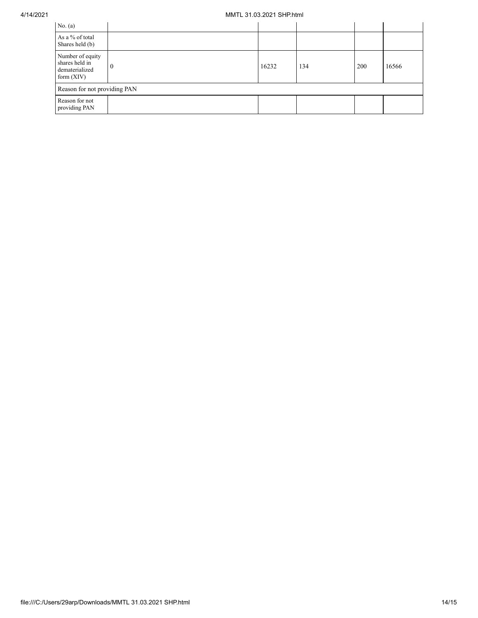| No. $(a)$                                                            |    |       |     |     |       |  |  |  |
|----------------------------------------------------------------------|----|-------|-----|-----|-------|--|--|--|
| As a % of total<br>Shares held (b)                                   |    |       |     |     |       |  |  |  |
| Number of equity<br>shares held in<br>dematerialized<br>form $(XIV)$ | л. | 16232 | 134 | 200 | 16566 |  |  |  |
| Reason for not providing PAN                                         |    |       |     |     |       |  |  |  |
| Reason for not<br>providing PAN                                      |    |       |     |     |       |  |  |  |